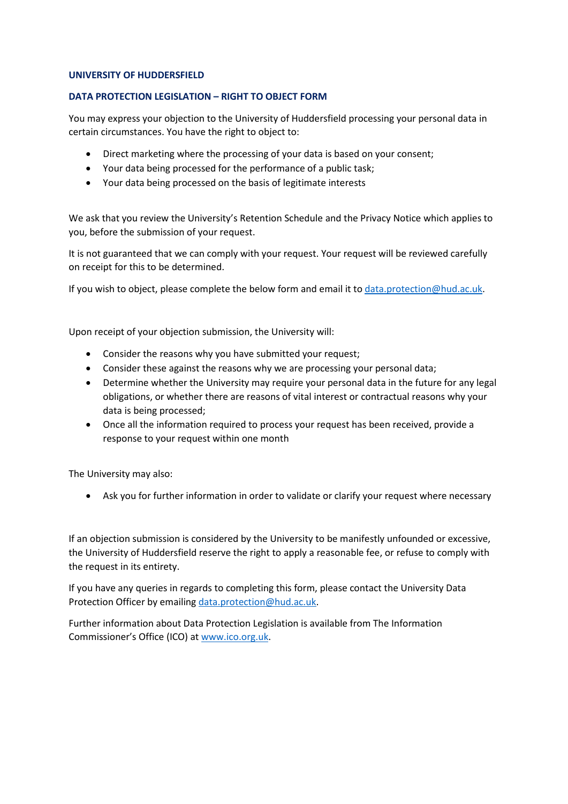### **UNIVERSITY OF HUDDERSFIELD**

### **DATA PROTECTION LEGISLATION – RIGHT TO OBJECT FORM**

You may express your objection to the University of Huddersfield processing your personal data in certain circumstances. You have the right to object to:

- Direct marketing where the processing of your data is based on your consent;
- Your data being processed for the performance of a public task;
- Your data being processed on the basis of legitimate interests

We ask that you review the University's Retention Schedule and the Privacy Notice which applies to you, before the submission of your request.

It is not guaranteed that we can comply with your request. Your request will be reviewed carefully on receipt for this to be determined.

If you wish to object, please complete the below form and email it t[o data.protection@hud.ac.uk.](mailto:data.protection@hud.ac.uk)

Upon receipt of your objection submission, the University will:

- Consider the reasons why you have submitted your request;
- Consider these against the reasons why we are processing your personal data;
- Determine whether the University may require your personal data in the future for any legal obligations, or whether there are reasons of vital interest or contractual reasons why your data is being processed;
- Once all the information required to process your request has been received, provide a response to your request within one month

The University may also:

• Ask you for further information in order to validate or clarify your request where necessary

If an objection submission is considered by the University to be manifestly unfounded or excessive, the University of Huddersfield reserve the right to apply a reasonable fee, or refuse to comply with the request in its entirety.

If you have any queries in regards to completing this form, please contact the University Data Protection Officer by emailing [data.protection@hud.ac.uk.](mailto:data.protection@hud.ac.uk)

Further information about Data Protection Legislation is available from The Information Commissioner's Office (ICO) at [www.ico.org.uk.](http://www.ico.org.uk/)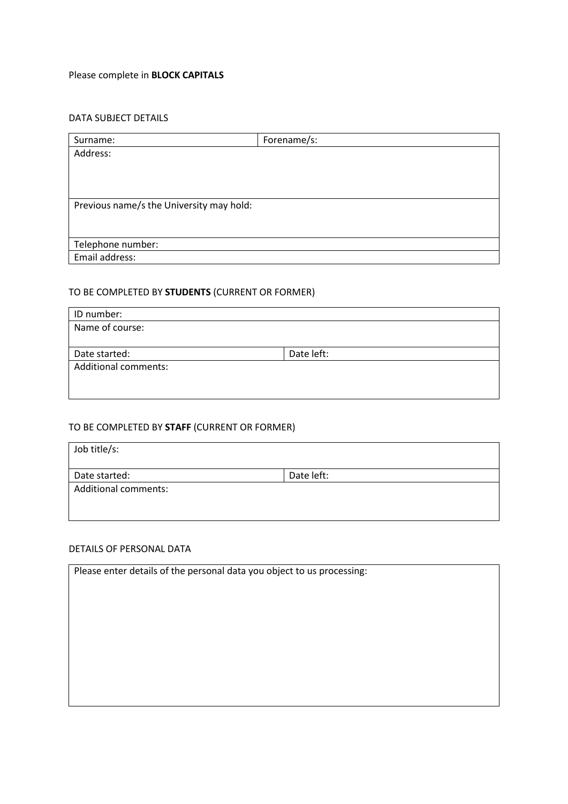# Please complete in **BLOCK CAPITALS**

### DATA SUBJECT DETAILS

| Surname:                                 | Forename/s: |
|------------------------------------------|-------------|
| Address:                                 |             |
|                                          |             |
|                                          |             |
|                                          |             |
| Previous name/s the University may hold: |             |
|                                          |             |
|                                          |             |
| Telephone number:                        |             |
| Email address:                           |             |

# TO BE COMPLETED BY **STUDENTS** (CURRENT OR FORMER)

| ID number:                  |            |
|-----------------------------|------------|
| Name of course:             |            |
|                             |            |
| Date started:               | Date left: |
| <b>Additional comments:</b> |            |
|                             |            |
|                             |            |

## TO BE COMPLETED BY **STAFF** (CURRENT OR FORMER)

| Job title/s:                |            |
|-----------------------------|------------|
| Date started:               | Date left: |
| <b>Additional comments:</b> |            |
|                             |            |
|                             |            |

## DETAILS OF PERSONAL DATA

| Please enter details of the personal data you object to us processing: |  |
|------------------------------------------------------------------------|--|
|                                                                        |  |
|                                                                        |  |
|                                                                        |  |
|                                                                        |  |
|                                                                        |  |
|                                                                        |  |
|                                                                        |  |
|                                                                        |  |
|                                                                        |  |
|                                                                        |  |
|                                                                        |  |
|                                                                        |  |
|                                                                        |  |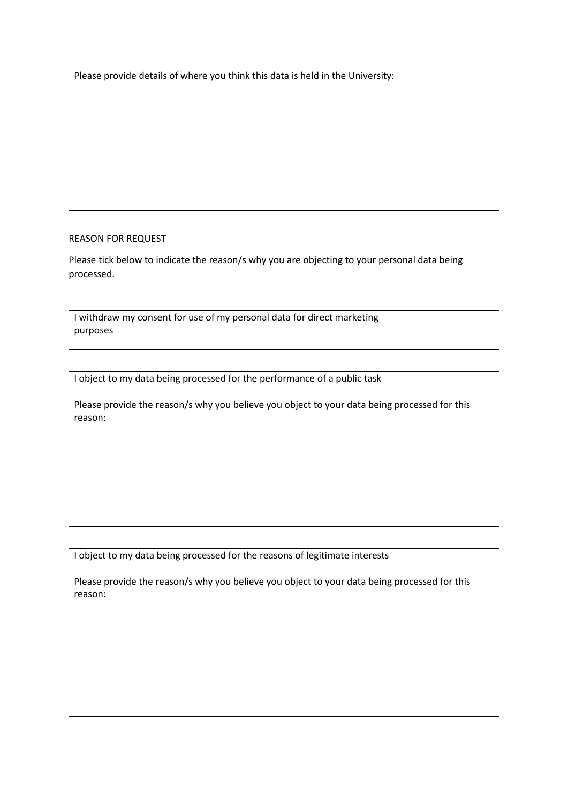Please provide details of where you think this data is held in the University:

### REASON FOR REQUEST

Please tick below to indicate the reason/s why you are objecting to your personal data being processed.

| I withdraw my consent for use of my personal data for direct marketing |  |
|------------------------------------------------------------------------|--|
| purposes                                                               |  |
|                                                                        |  |

| I object to my data being processed for the performance of a public task                                |  |
|---------------------------------------------------------------------------------------------------------|--|
| Please provide the reason/s why you believe you object to your data being processed for this<br>reason: |  |
|                                                                                                         |  |
|                                                                                                         |  |

| I object to my data being processed for the reasons of legitimate interests                             |  |  |
|---------------------------------------------------------------------------------------------------------|--|--|
| Please provide the reason/s why you believe you object to your data being processed for this<br>reason: |  |  |
|                                                                                                         |  |  |
|                                                                                                         |  |  |
|                                                                                                         |  |  |